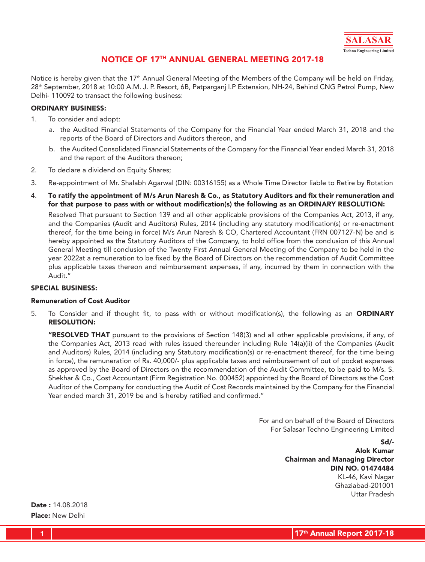

## NOTICE OF 17TH ANNUAL GENERAL MEETING 2017-18

Notice is hereby given that the 17<sup>th</sup> Annual General Meeting of the Members of the Company will be held on Friday, 28th September, 2018 at 10:00 A.M. J. P. Resort, 6B, Patparganj I.P Extension, NH-24, Behind CNG Petrol Pump, New Delhi- 110092 to transact the following business:

#### ORDINARY BUSINESS:

- 1. To consider and adopt:
	- a. the Audited Financial Statements of the Company for the Financial Year ended March 31, 2018 and the reports of the Board of Directors and Auditors thereon, and
	- b. the Audited Consolidated Financial Statements of the Company for the Financial Year ended March 31, 2018 and the report of the Auditors thereon;
- 2. To declare a dividend on Equity Shares;
- 3. Re-appointment of Mr. Shalabh Agarwal (DIN: 00316155) as a Whole Time Director liable to Retire by Rotation
- 4. To ratify the appointment of M/s Arun Naresh & Co., as Statutory Auditors and fix their remuneration and for that purpose to pass with or without modification(s) the following as an ORDINARY RESOLUTION:

Resolved That pursuant to Section 139 and all other applicable provisions of the Companies Act, 2013, if any, and the Companies (Audit and Auditors) Rules, 2014 (including any statutory modification(s) or re-enactment thereof, for the time being in force) M/s Arun Naresh & CO, Chartered Accountant (FRN 007127-N) be and is hereby appointed as the Statutory Auditors of the Company, to hold office from the conclusion of this Annual General Meeting till conclusion of the Twenty First Annual General Meeting of the Company to be held in the year 2022at a remuneration to be fixed by the Board of Directors on the recommendation of Audit Committee plus applicable taxes thereon and reimbursement expenses, if any, incurred by them in connection with the Audit."

#### SPECIAL BUSINESS:

#### Remuneration of Cost Auditor

5. To Consider and if thought fit, to pass with or without modification(s), the following as an **ORDINARY** RESOLUTION:

"RESOLVED THAT pursuant to the provisions of Section 148(3) and all other applicable provisions, if any, of the Companies Act, 2013 read with rules issued thereunder including Rule 14(a)(ii) of the Companies (Audit and Auditors) Rules, 2014 (including any Statutory modification(s) or re-enactment thereof, for the time being in force), the remuneration of Rs. 40,000/- plus applicable taxes and reimbursement of out of pocket expenses as approved by the Board of Directors on the recommendation of the Audit Committee, to be paid to M/s. S. Shekhar & Co., Cost Accountant (Firm Registration No. 000452) appointed by the Board of Directors as the Cost Auditor of the Company for conducting the Audit of Cost Records maintained by the Company for the Financial Year ended march 31, 2019 be and is hereby ratified and confirmed."

> For and on behalf of the Board of Directors For Salasar Techno Engineering Limited

> > Sd/- Alok Kumar Chairman and Managing Director DIN NO. 01474484 KL-46, Kavi Nagar Ghaziabad-201001 Uttar Pradesh

Date : 14.08.2018 Place: New Delhi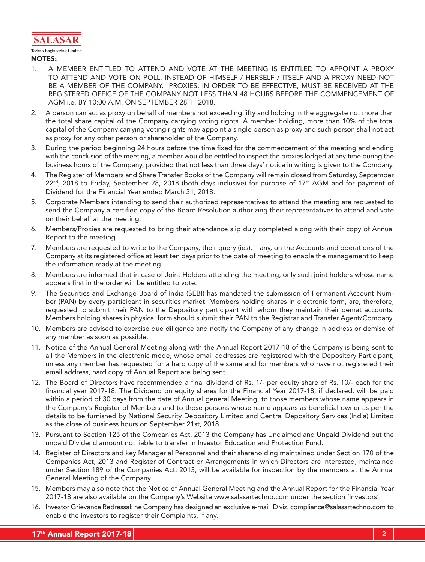

#### **Techno Engineering Limited** NOTES:

- 1. A MEMBER ENTITLED TO ATTEND AND VOTE AT THE MEETING IS ENTITLED TO APPOINT A PROXY TO ATTEND AND VOTE ON POLL, INSTEAD OF HIMSELF / HERSELF / ITSELF AND A PROXY NEED NOT BE A MEMBER OF THE COMPANY. PROXIES, IN ORDER TO BE EFFECTIVE, MUST BE RECEIVED AT THE REGISTERED OFFICE OF THE COMPANY NOT LESS THAN 48 HOURS BEFORE THE COMMENCEMENT OF AGM i.e. BY 10:00 A.M. ON SEPTEMBER 28TH 2018.
- 2. A person can act as proxy on behalf of members not exceeding fifty and holding in the aggregate not more than the total share capital of the Company carrying voting rights. A member holding, more than 10% of the total capital of the Company carrying voting rights may appoint a single person as proxy and such person shall not act as proxy for any other person or shareholder of the Company.
- 3. During the period beginning 24 hours before the time fixed for the commencement of the meeting and ending with the conclusion of the meeting, a member would be entitled to inspect the proxies lodged at any time during the business hours of the Company, provided that not less than three days' notice in writing is given to the Company.
- 4. The Register of Members and Share Transfer Books of the Company will remain closed from Saturday, September  $22^{nd}$ , 2018 to Friday, September 28, 2018 (both days inclusive) for purpose of 17<sup>th</sup> AGM and for payment of Dividend for the Financial Year ended March 31, 2018.
- 5. Corporate Members intending to send their authorized representatives to attend the meeting are requested to send the Company a certified copy of the Board Resolution authorizing their representatives to attend and vote on their behalf at the meeting.
- 6. Members/Proxies are requested to bring their attendance slip duly completed along with their copy of Annual Report to the meeting.
- 7. Members are requested to write to the Company, their query (ies), if any, on the Accounts and operations of the Company at its registered office at least ten days prior to the date of meeting to enable the management to keep the information ready at the meeting.
- 8. Members are informed that in case of Joint Holders attending the meeting; only such joint holders whose name appears first in the order will be entitled to vote.
- 9. The Securities and Exchange Board of India (SEBI) has mandated the submission of Permanent Account Number (PAN) by every participant in securities market. Members holding shares in electronic form, are, therefore, requested to submit their PAN to the Depository participant with whom they maintain their demat accounts. Members holding shares in physical form should submit their PAN to the Registrar and Transfer Agent/Company.
- 10. Members are advised to exercise due diligence and notify the Company of any change in address or demise of any member as soon as possible.
- 11. Notice of the Annual General Meeting along with the Annual Report 2017-18 of the Company is being sent to all the Members in the electronic mode, whose email addresses are registered with the Depository Participant, unless any member has requested for a hard copy of the same and for members who have not registered their email address, hard copy of Annual Report are being sent.
- 12. The Board of Directors have recommended a final dividend of Rs. 1/- per equity share of Rs. 10/- each for the financial year 2017-18. The Dividend on equity shares for the Financial Year 2017-18, if declared, will be paid within a period of 30 days from the date of Annual general Meeting, to those members whose name appears in the Company's Register of Members and to those persons whose name appears as beneficial owner as per the details to be furnished by National Security Depository Limited and Central Depository Services (India) Limited as the close of business hours on September 21st, 2018.
- 13. Pursuant to Section 125 of the Companies Act, 2013 the Company has Unclaimed and Unpaid Dividend but the unpaid Dividend amount not liable to transfer in Investor Education and Protection Fund.
- 14. Register of Directors and key Managerial Personnel and their shareholding maintained under Section 170 of the Companies Act, 2013 and Register of Contract or Arrangements in which Directors are interested, maintained under Section 189 of the Companies Act, 2013, will be available for inspection by the members at the Annual General Meeting of the Company.
- 15. Members may also note that the Notice of Annual General Meeting and the Annual Report for the Financial Year 2017-18 are also available on the Company's Website www.salasartechno.com under the section 'Investors'.
- 16. Investor Grievance Redressal: he Company has designed an exclusive e-mail ID viz. compliance@salasartechno.com to enable the investors to register their Complaints, if any.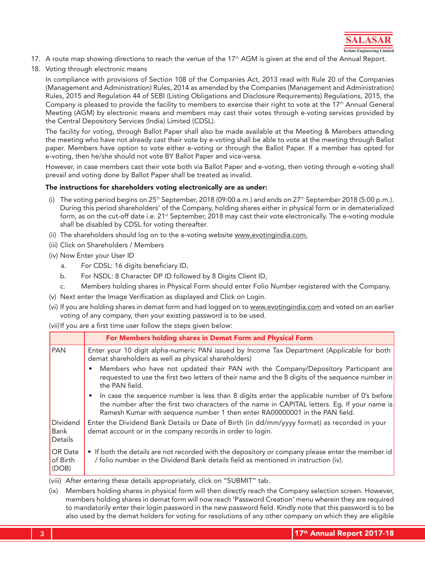

- 17. A route map showing directions to reach the venue of the 17<sup>th</sup> AGM is given at the end of the Annual Report.
- 18. Voting through electronic means

In compliance with provisions of Section 108 of the Companies Act, 2013 read with Rule 20 of the Companies (Management and Administration) Rules, 2014 as amended by the Companies (Management and Administration) Rules, 2015 and Regulation 44 of SEBI (Listing Obligations and Disclosure Requirements) Regulations, 2015, the Company is pleased to provide the facility to members to exercise their right to vote at the 17<sup>th</sup> Annual General Meeting (AGM) by electronic means and members may cast their votes through e-voting services provided by the Central Depository Services (India) Limited (CDSL).

The facility for voting, through Ballot Paper shall also be made available at the Meeting & Members attending the meeting who have not already cast their vote by e-voting shall be able to vote at the meeting through Ballot paper. Members have option to vote either e-voting or through the Ballot Paper. If a member has opted for e-voting, then he/she should not vote BY Ballot Paper and vice-versa.

However, in case members cast their vote both via Ballot Paper and e-voting, then voting through e-voting shall prevail and voting done by Ballot Paper shall be treated as invalid.

#### The instructions for shareholders voting electronically are as under:

- (i) The voting period begins on  $25<sup>th</sup>$  September, 2018 (09:00 a.m.) and ends on  $27<sup>th</sup>$  September 2018 (5:00 p.m.). During this period shareholders' of the Company, holding shares either in physical form or in dematerialized form, as on the cut-off date i.e. 21<sup>st</sup> September, 2018 may cast their vote electronically. The e-voting module shall be disabled by CDSL for voting thereafter.
- (ii) The shareholders should log on to the e-voting website www.evotingindia.com.
- (iii) Click on Shareholders / Members
- (iv) Now Enter your User ID
	- a. For CDSL: 16 digits beneficiary ID,
	- b. For NSDL: 8 Character DP ID followed by 8 Digits Client ID,
	- c. Members holding shares in Physical Form should enter Folio Number registered with the Company.
- (v) Next enter the Image Verification as displayed and Click on Login.
- (vi) If you are holding shares in demat form and had logged on to www.evotingindia.com and voted on an earlier voting of any company, then your existing password is to be used.

(vii) If you are a first time user follow the steps given below:

|                              | For Members holding shares in Demat Form and Physical Form                                                                                                                                                                                                                  |
|------------------------------|-----------------------------------------------------------------------------------------------------------------------------------------------------------------------------------------------------------------------------------------------------------------------------|
| <b>PAN</b>                   | Enter your 10 digit alpha-numeric PAN issued by Income Tax Department (Applicable for both<br>demat shareholders as well as physical shareholders)                                                                                                                          |
|                              | Members who have not updated their PAN with the Company/Depository Participant are<br>requested to use the first two letters of their name and the 8 digits of the sequence number in<br>the PAN field.                                                                     |
|                              | In case the sequence number is less than 8 digits enter the applicable number of 0's before<br>the number after the first two characters of the name in CAPITAL letters. Eq. If your name is<br>Ramesh Kumar with sequence number 1 then enter RA00000001 in the PAN field. |
| Dividend<br>Bank<br>Details  | Enter the Dividend Bank Details or Date of Birth (in dd/mm/yyyy format) as recorded in your<br>demat account or in the company records in order to login.                                                                                                                   |
| OR Date<br>of Birth<br>(DOB) | • If both the details are not recorded with the depository or company please enter the member id<br>/ folio number in the Dividend Bank details field as mentioned in instruction (iv).                                                                                     |

(viii) After entering these details appropriately, click on "SUBMIT" tab.

(ix) Members holding shares in physical form will then directly reach the Company selection screen. However, members holding shares in demat form will now reach 'Password Creation' menu wherein they are required to mandatorily enter their login password in the new password field. Kindly note that this password is to be also used by the demat holders for voting for resolutions of any other company on which they are eligible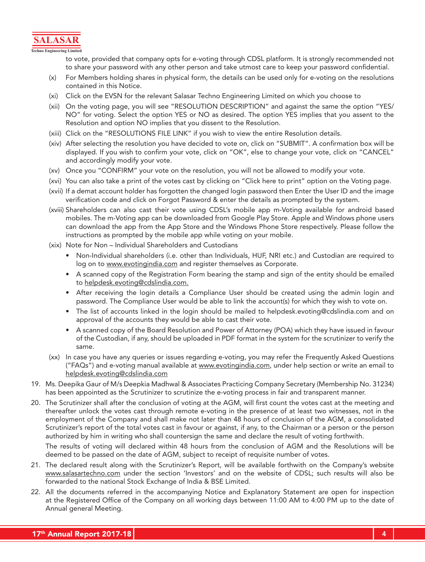

to vote, provided that company opts for e-voting through CDSL platform. It is strongly recommended not to share your password with any other person and take utmost care to keep your password confidential.

- (x) For Members holding shares in physical form, the details can be used only for e-voting on the resolutions contained in this Notice.
- (xi) Click on the EVSN for the relevant Salasar Techno Engineering Limited on which you choose to
- (xii) On the voting page, you will see "RESOLUTION DESCRIPTION" and against the same the option "YES/ NO" for voting. Select the option YES or NO as desired. The option YES implies that you assent to the Resolution and option NO implies that you dissent to the Resolution.
- (xiii) Click on the "RESOLUTIONS FILE LINK" if you wish to view the entire Resolution details.
- (xiv) After selecting the resolution you have decided to vote on, click on "SUBMIT". A confirmation box will be displayed. If you wish to confirm your vote, click on "OK", else to change your vote, click on "CANCEL" and accordingly modify your vote.
- (xv) Once you "CONFIRM" your vote on the resolution, you will not be allowed to modify your vote.
- (xvi) You can also take a print of the votes cast by clicking on "Click here to print" option on the Voting page.
- (xvii) If a demat account holder has forgotten the changed login password then Enter the User ID and the image verification code and click on Forgot Password & enter the details as prompted by the system.
- (xviii) Shareholders can also cast their vote using CDSL's mobile app m-Voting available for android based mobiles. The m-Voting app can be downloaded from Google Play Store. Apple and Windows phone users can download the app from the App Store and the Windows Phone Store respectively. Please follow the instructions as prompted by the mobile app while voting on your mobile.
- (xix) Note for Non Individual Shareholders and Custodians
	- • Non-Individual shareholders (i.e. other than Individuals, HUF, NRI etc.) and Custodian are required to log on to www.evotingindia.com and register themselves as Corporate.
	- A scanned copy of the Registration Form bearing the stamp and sign of the entity should be emailed to helpdesk.evoting@cdslindia.com.
	- After receiving the login details a Compliance User should be created using the admin login and password. The Compliance User would be able to link the account(s) for which they wish to vote on.
	- The list of accounts linked in the login should be mailed to helpdesk.evoting@cdslindia.com and on approval of the accounts they would be able to cast their vote.
	- A scanned copy of the Board Resolution and Power of Attorney (POA) which they have issued in favour of the Custodian, if any, should be uploaded in PDF format in the system for the scrutinizer to verify the same.
- (xx) In case you have any queries or issues regarding e-voting, you may refer the Frequently Asked Questions ("FAQs") and e-voting manual available at www.evotingindia.com, under help section or write an email to helpdesk.evoting@cdslindia.com
- 19. Ms. Deepika Gaur of M/s Deepkia Madhwal & Associates Practicing Company Secretary (Membership No. 31234) has been appointed as the Scrutinizer to scrutinize the e-voting process in fair and transparent manner.
- 20. The Scrutinizer shall after the conclusion of voting at the AGM, will first count the votes cast at the meeting and thereafter unlock the votes cast through remote e-voting in the presence of at least two witnesses, not in the employment of the Company and shall make not later than 48 hours of conclusion of the AGM, a consolidated Scrutinizer's report of the total votes cast in favour or against, if any, to the Chairman or a person or the person authorized by him in writing who shall countersign the same and declare the result of voting forthwith.

The results of voting will declared within 48 hours from the conclusion of AGM and the Resolutions will be deemed to be passed on the date of AGM, subject to receipt of requisite number of votes.

- 21. The declared result along with the Scrutinizer's Report, will be available forthwith on the Company's website www.salasartechno.com under the section 'Investors' and on the website of CDSL; such results will also be forwarded to the national Stock Exchange of India & BSE Limited.
- 22. All the documents referred in the accompanying Notice and Explanatory Statement are open for inspection at the Registered Office of the Company on all working days between 11:00 AM to 4:00 PM up to the date of Annual general Meeting.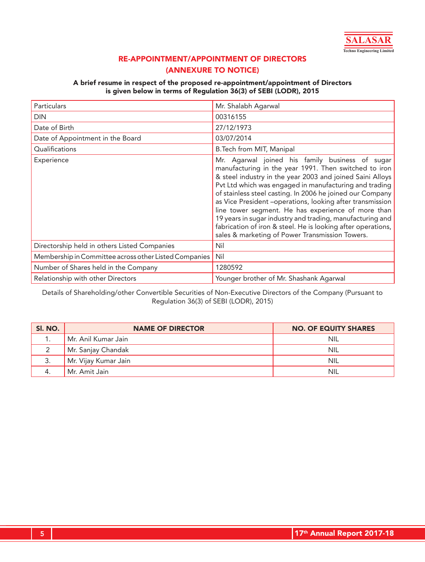

## RE-APPOINTMENT/APPOINTMENT OF DIRECTORS (ANNEXURE TO NOTICE)

### A brief resume in respect of the proposed re-appointment/appointment of Directors is given below in terms of Regulation 36(3) of SEBI (LODR), 2015

| Particulars                                           | Mr. Shalabh Agarwal                                                                                                                                                                                                                                                                                                                                                                                                                                                                                                                                                                             |
|-------------------------------------------------------|-------------------------------------------------------------------------------------------------------------------------------------------------------------------------------------------------------------------------------------------------------------------------------------------------------------------------------------------------------------------------------------------------------------------------------------------------------------------------------------------------------------------------------------------------------------------------------------------------|
| <b>DIN</b>                                            | 00316155                                                                                                                                                                                                                                                                                                                                                                                                                                                                                                                                                                                        |
| Date of Birth                                         | 27/12/1973                                                                                                                                                                                                                                                                                                                                                                                                                                                                                                                                                                                      |
| Date of Appointment in the Board                      | 03/07/2014                                                                                                                                                                                                                                                                                                                                                                                                                                                                                                                                                                                      |
| Qualifications                                        | B. Tech from MIT, Manipal                                                                                                                                                                                                                                                                                                                                                                                                                                                                                                                                                                       |
| Experience                                            | Mr. Agarwal joined his family business of sugar<br>manufacturing in the year 1991. Then switched to iron<br>& steel industry in the year 2003 and joined Saini Alloys<br>Pvt Ltd which was engaged in manufacturing and trading<br>of stainless steel casting. In 2006 he joined our Company<br>as Vice President -operations, looking after transmission<br>line tower segment. He has experience of more than<br>19 years in sugar industry and trading, manufacturing and<br>fabrication of iron & steel. He is looking after operations,<br>sales & marketing of Power Transmission Towers. |
| Directorship held in others Listed Companies          | Nil                                                                                                                                                                                                                                                                                                                                                                                                                                                                                                                                                                                             |
| Membership in Committee across other Listed Companies | Nil                                                                                                                                                                                                                                                                                                                                                                                                                                                                                                                                                                                             |
| Number of Shares held in the Company                  | 1280592                                                                                                                                                                                                                                                                                                                                                                                                                                                                                                                                                                                         |
| Relationship with other Directors                     | Younger brother of Mr. Shashank Agarwal                                                                                                                                                                                                                                                                                                                                                                                                                                                                                                                                                         |

Details of Shareholding/other Convertible Securities of Non-Executive Directors of the Company (Pursuant to Regulation 36(3) of SEBI (LODR), 2015)

| SI. NO. | <b>NAME OF DIRECTOR</b> | <b>NO. OF EQUITY SHARES</b> |
|---------|-------------------------|-----------------------------|
|         | Mr. Anil Kumar Jain     | NIL                         |
|         | Mr. Sanjay Chandak      | <b>NIL</b>                  |
| 3.      | Mr. Vijay Kumar Jain    | <b>NIL</b>                  |
|         | Mr. Amit Jain           | <b>NIL</b>                  |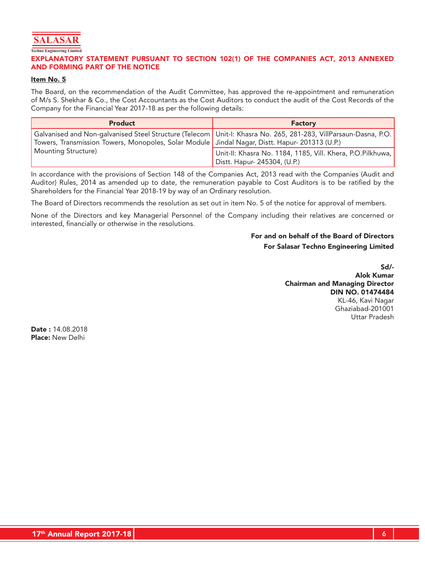

**Techno Engineering Limited**

#### EXPLANATORY STATEMENT PURSUANT TO SECTION 102(1) OF THE COMPANIES ACT, 2013 ANNEXED AND FORMING PART OF THE NOTICE

#### Item No. 5

The Board, on the recommendation of the Audit Committee, has approved the re-appointment and remuneration of M/s S. Shekhar & Co., the Cost Accountants as the Cost Auditors to conduct the audit of the Cost Records of the Company for the Financial Year 2017-18 as per the following details:

| <b>Product</b>                                                                                   | <b>Factory</b>                                                                                                    |
|--------------------------------------------------------------------------------------------------|-------------------------------------------------------------------------------------------------------------------|
| Towers, Transmission Towers, Monopoles, Solar Module   Jindal Nagar, Distt. Hapur- 201313 (U.P.) | Galvanised and Non-galvanised Steel Structure (Telecom   Unit-I: Khasra No. 265, 281-283, VillParsaun-Dasna, P.O. |
| <b>Mounting Structure</b> )                                                                      | Unit-II: Khasra No. 1184, 1185, Vill. Khera, P.O.Pilkhuwa,  <br>Distt. Hapur- 245304, (U.P.)                      |

In accordance with the provisions of Section 148 of the Companies Act, 2013 read with the Companies (Audit and Auditor) Rules, 2014 as amended up to date, the remuneration payable to Cost Auditors is to be ratified by the Shareholders for the Financial Year 2018-19 by way of an Ordinary resolution.

The Board of Directors recommends the resolution as set out in item No. 5 of the notice for approval of members.

None of the Directors and key Managerial Personnel of the Company including their relatives are concerned or interested, financially or otherwise in the resolutions.

## For and on behalf of the Board of Directors For Salasar Techno Engineering Limited

Sd/- Alok Kumar Chairman and Managing Director DIN NO. 01474484 KL-46, Kavi Nagar Ghaziabad-201001 Uttar Pradesh

Date : 14.08.2018 Place: New Delhi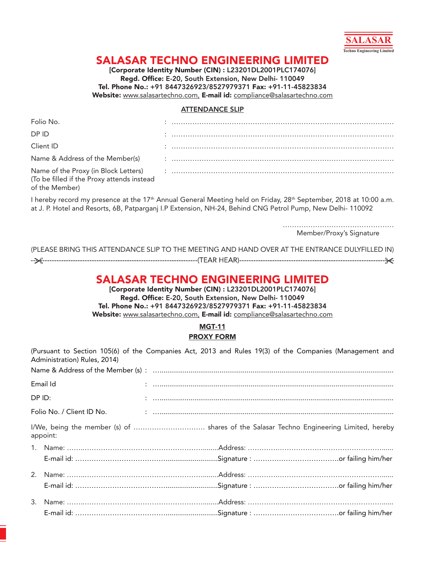

# SALASAR TECHNO ENGINEERING LIMITED

[Corporate Identity Number (CIN) : L23201DL2001PLC174076] Regd. Office: E-20, South Extension, New Delhi- 110049 Tel. Phone No.: +91 8447326923/8527979371 Fax: +91-11-45823834 Website: [www.salasartechno.com](http://www.salasartechno.com), E-mail id: [compliance@salasartechno.com](mailto:compliance@salasartechno.com)

#### ATTENDANCE SLIP

| Folio No.                                                    |  |
|--------------------------------------------------------------|--|
| DP ID                                                        |  |
| Client ID                                                    |  |
|                                                              |  |
| (To be filled if the Proxy attends instead<br>of the Member) |  |

I hereby record my presence at the 17<sup>th</sup> Annual General Meeting held on Friday, 28<sup>th</sup> September, 2018 at 10:00 a.m. at J. P. Hotel and Resorts, 6B, Patparganj I.P Extension, NH-24, Behind CNG Petrol Pump, New Delhi- 110092

> ………………………………………… Member/Proxy's Signature

| (PLEASE BRING THIS ATTENDANCE SLIP TO THE MEETING AND HAND OVER AT THE ENTRANCE DULYFILLED IN) |  |
|------------------------------------------------------------------------------------------------|--|
|                                                                                                |  |

## SALASAR TECHNO ENGINEERING LIMITED

[Corporate Identity Number (CIN) : L23201DL2001PLC174076] Regd. Office: E-20, South Extension, New Delhi- 110049 Tel. Phone No.: +91 8447326923/8527979371 Fax: +91-11-45823834 Website: [www.salasartechno.com](http://www.salasartechno.com), E-mail id: [compliance@salasartechno.com](mailto:compliance@salasartechno.com)

## MGT-11 PROXY FORM

|        | (Pursuant to Section 105(6) of the Companies Act, 2013 and Rules 19(3) of the Companies (Management and<br>Administration) Rules, 2014) |  |  |  |
|--------|-----------------------------------------------------------------------------------------------------------------------------------------|--|--|--|
|        |                                                                                                                                         |  |  |  |
|        | Email Id                                                                                                                                |  |  |  |
| DP ID: |                                                                                                                                         |  |  |  |
|        |                                                                                                                                         |  |  |  |
|        | I/We, being the member (s) of  shares of the Salasar Techno Engineering Limited, hereby<br>appoint:                                     |  |  |  |
|        |                                                                                                                                         |  |  |  |
|        |                                                                                                                                         |  |  |  |
|        |                                                                                                                                         |  |  |  |
|        |                                                                                                                                         |  |  |  |
|        |                                                                                                                                         |  |  |  |
|        |                                                                                                                                         |  |  |  |